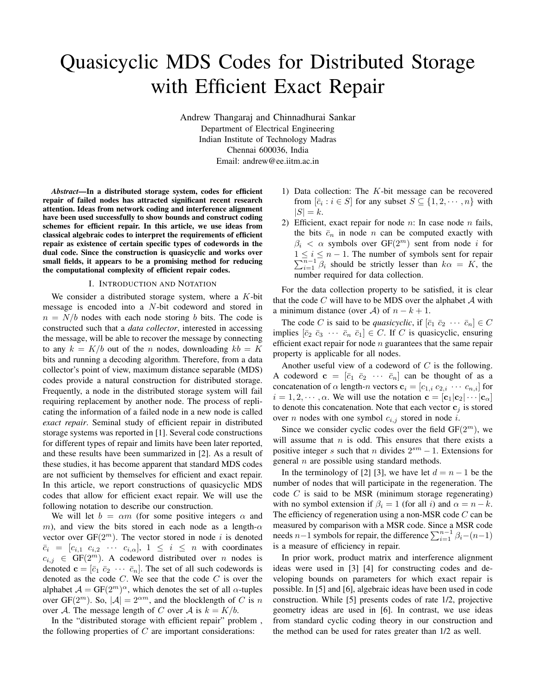# Quasicyclic MDS Codes for Distributed Storage with Efficient Exact Repair

Andrew Thangaraj and Chinnadhurai Sankar Department of Electrical Engineering Indian Institute of Technology Madras Chennai 600036, India Email: andrew@ee.iitm.ac.in

*Abstract*—In a distributed storage system, codes for efficient repair of failed nodes has attracted significant recent research attention. Ideas from network coding and interference alignment have been used successfully to show bounds and construct coding schemes for efficient repair. In this article, we use ideas from classical algebraic codes to interpret the requirements of efficient repair as existence of certain specific types of codewords in the dual code. Since the construction is quasicyclic and works over small fields, it appears to be a promising method for reducing the computational complexity of efficient repair codes.

## I. INTRODUCTION AND NOTATION

We consider a distributed storage system, where a  $K$ -bit message is encoded into a N-bit codeword and stored in  $n = N/b$  nodes with each node storing b bits. The code is constructed such that a *data collector*, interested in accessing the message, will be able to recover the message by connecting to any  $k = K/b$  out of the n nodes, downloading  $kb = K$ bits and running a decoding algorithm. Therefore, from a data collector's point of view, maximum distance separable (MDS) codes provide a natural construction for distributed storage. Frequently, a node in the distributed storage system will fail requiring replacement by another node. The process of replicating the information of a failed node in a new node is called *exact repair*. Seminal study of efficient repair in distributed storage systems was reported in [1]. Several code constructions for different types of repair and limits have been later reported, and these results have been summarized in [2]. As a result of these studies, it has become apparent that standard MDS codes are not sufficient by themselves for efficient and exact repair. In this article, we report constructions of quasicyclic MDS codes that allow for efficient exact repair. We will use the following notation to describe our construction.

We will let  $b = \alpha m$  (for some positive integers  $\alpha$  and m), and view the bits stored in each node as a length- $\alpha$ vector over  $GF(2^m)$ . The vector stored in node i is denoted  $\bar{c}_i = [c_{i,1} \ c_{i,2} \ \cdots \ c_{i,\alpha}], \ 1 \leq i \leq n$  with coordinates  $c_{i,j} \in GF(2^m)$ . A codeword distributed over *n* nodes is denoted  $\mathbf{c} = [\bar{c}_1 \ \bar{c}_2 \ \cdots \ \bar{c}_n]$ . The set of all such codewords is denoted as the code  $C$ . We see that the code  $C$  is over the alphabet  $A = GF(2^m)^{\alpha}$ , which denotes the set of all  $\alpha$ -tuples over GF( $2^m$ ). So,  $|\mathcal{A}| = 2^{\alpha m}$ , and the blocklength of C is n over A. The message length of C over A is  $k = K/b$ .

In the "distributed storage with efficient repair" problem , the following properties of  $C$  are important considerations:

- 1) Data collection: The K-bit message can be recovered from  $[\bar{c}_i : i \in S]$  for any subset  $S \subseteq \{1, 2, \dots, n\}$  with  $|S| = k$ .
- 2) Efficient, exact repair for node  $n$ : In case node  $n$  fails, the bits  $\bar{c}_n$  in node *n* can be computed exactly with  $\beta_i < \alpha$  symbols over  $GF(2^m)$  sent from node i for  $1 \leq i \leq n-1$ . The number of symbols sent for repair  $\sum_{i=1}^{\overline{n}-1} \overline{\beta}_i$  should be strictly lesser than  $k\alpha = K$ , the number required for data collection.

For the data collection property to be satisfied, it is clear that the code  $C$  will have to be MDS over the alphabet  $A$  with a minimum distance (over A) of  $n - k + 1$ .

The code C is said to be *quasicyclic*, if  $[\bar{c}_1 \ \bar{c}_2 \ \cdots \ \bar{c}_n] \in C$ implies  $[\bar{c}_2 \ \bar{c}_3 \ \cdots \ \bar{c}_n \ \bar{c}_1] \in C$ . If C is quasicyclic, ensuring efficient exact repair for node  $n$  guarantees that the same repair property is applicable for all nodes.

Another useful view of a codeword of  $C$  is the following. A codeword  $\mathbf{c} = [\bar{c}_1 \ \bar{c}_2 \ \cdots \ \bar{c}_n]$  can be thought of as a concatenation of  $\alpha$  length-n vectors  $\mathbf{c}_i = [c_{1,i} \ c_{2,i} \ \cdots \ c_{n,i}]$  for  $i = 1, 2, \dots, \alpha$ . We will use the notation  $\mathbf{c} = [\mathbf{c}_1 | \mathbf{c}_2 | \cdots | \mathbf{c}_\alpha]$ to denote this concatenation. Note that each vector  $\mathbf{c}_i$  is stored over *n* nodes with one symbol  $c_{i,j}$  stored in node *i*.

Since we consider cyclic codes over the field  $GF(2^m)$ , we will assume that  $n$  is odd. This ensures that there exists a positive integer s such that n divides  $2^{sm} - 1$ . Extensions for general  $n$  are possible using standard methods.

In the terminology of [2] [3], we have let  $d = n - 1$  be the number of nodes that will participate in the regeneration. The code  $C$  is said to be MSR (minimum storage regenerating) with no symbol extension if  $\beta_i = 1$  (for all i) and  $\alpha = n - k$ . The efficiency of regeneration using a non-MSR code  $C$  can be measured by comparison with a MSR code. Since a MSR code needs  $n-1$  symbols for repair, the difference  $\sum_{i=1}^{n-1} \beta_i - (n-1)$ is a measure of efficiency in repair.

In prior work, product matrix and interference alignment ideas were used in [3] [4] for constructing codes and developing bounds on parameters for which exact repair is possible. In [5] and [6], algebraic ideas have been used in code construction. While [5] presents codes of rate 1/2, projective geometry ideas are used in [6]. In contrast, we use ideas from standard cyclic coding theory in our construction and the method can be used for rates greater than 1/2 as well.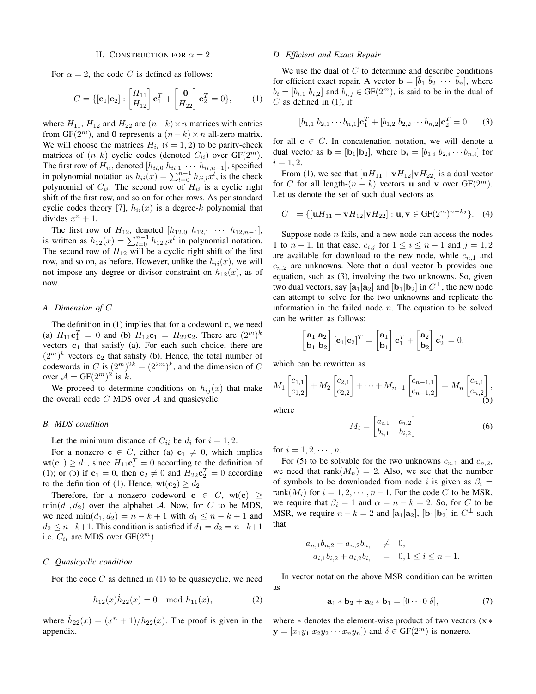### II. CONSTRUCTION FOR  $\alpha = 2$

For  $\alpha = 2$ , the code C is defined as follows:

$$
C = \{ [\mathbf{c}_1 | \mathbf{c}_2] : \begin{bmatrix} H_{11} \\ H_{12} \end{bmatrix} \mathbf{c}_1^T + \begin{bmatrix} \mathbf{0} \\ H_{22} \end{bmatrix} \mathbf{c}_2^T = 0 \}, \quad (1)
$$

where  $H_{11}$ ,  $H_{12}$  and  $H_{22}$  are  $(n-k) \times n$  matrices with entries from GF( $2^m$ ), and 0 represents a  $(n-k) \times n$  all-zero matrix. We will choose the matrices  $H_{ii}$  ( $i = 1, 2$ ) to be parity-check matrices of  $(n, k)$  cyclic codes (denoted  $C_{ii}$ ) over  $GF(2^m)$ . The first row of  $H_{ii}$ , denoted  $[h_{ii,0}, h_{ii,1}, \cdots, h_{ii,n-1}]$ , specified in polynomial notation as  $h_{ii}(x) = \sum_{l=0}^{n-1} h_{ii,l}x^l$ , is the check polynomial of  $C_{ii}$ . The second row of  $H_{ii}$  is a cyclic right shift of the first row, and so on for other rows. As per standard cyclic codes theory [7],  $h_{ii}(x)$  is a degree-k polynomial that divides  $x^n + 1$ .

The first row of  $H_{12}$ , denoted  $[h_{12,0}, h_{12,1}, \cdots, h_{12,n-1}],$ is written as  $h_{12}(x) = \sum_{l=0}^{n-1} h_{12,l}x^l$  in polynomial notation. The second row of  $H_{12}$  will be a cyclic right shift of the first row, and so on, as before. However, unlike the  $h_{ii}(x)$ , we will not impose any degree or divisor constraint on  $h_{12}(x)$ , as of now.

# *A. Dimension of* C

The definition in  $(1)$  implies that for a codeword  $c$ , we need (a)  $H_{11}$ **c**<sup>T</sup> = 0 and (b)  $H_{12}$ **c**<sub>1</sub> =  $H_{22}$ **c**<sub>2</sub>. There are  $(2^m)^k$ vectors  $c_1$  that satisfy (a). For each such choice, there are  $(2<sup>m</sup>)<sup>k</sup>$  vectors  $c<sub>2</sub>$  that satisfy (b). Hence, the total number of codewords in C is  $(2^m)^{2k} = (2^{2m})^k$ , and the dimension of C over  $\mathcal{A} = \text{GF}(2^m)^2$  is k.

We proceed to determine conditions on  $h_{ij}(x)$  that make the overall code  $C$  MDS over  $A$  and quasicyclic.

# *B. MDS condition*

Let the minimum distance of  $C_{ii}$  be  $d_i$  for  $i = 1, 2$ .

For a nonzero  $c \in C$ , either (a)  $c_1 \neq 0$ , which implies  $wt(c_1) \geq d_1$ , since  $H_{11}c_i^T = 0$  according to the definition of (1); or (b) if  $\mathbf{c}_1 = 0$ , then  $\mathbf{c}_2 \neq 0$  and  $H_{22}\mathbf{c}_2^T = 0$  according to the definition of (1). Hence,  $wt(c_2) \geq d_2$ .

Therefore, for a nonzero codeword  $c \in C$ , wt $(c) \geq$  $\min(d_1, d_2)$  over the alphabet A. Now, for C to be MDS, we need  $min(d_1, d_2) = n - k + 1$  with  $d_1 \le n - k + 1$  and  $d_2 \leq n-k+1$ . This condition is satisfied if  $d_1 = d_2 = n-k+1$ i.e.  $C_{ii}$  are MDS over  $GF(2^m)$ .

# *C. Quasicyclic condition*

For the code  $C$  as defined in (1) to be quasicyclic, we need

$$
h_{12}(x)\hat{h}_{22}(x) = 0 \mod h_{11}(x), \tag{2}
$$

where  $\hat{h}_{22}(x) = (x^n + 1)/h_{22}(x)$ . The proof is given in the appendix.

## *D. Efficient and Exact Repair*

We use the dual of  $C$  to determine and describe conditions for efficient exact repair. A vector  $\mathbf{b} = [\bar{b}_1 \ \bar{b}_2 \ \cdots \ \bar{b}_n]$ , where  $\overline{b}_i = [b_{i,1} \; b_{i,2}]$  and  $b_{i,j} \in \text{GF}(2^m)$ , is said to be in the dual of  $C$  as defined in (1), if

$$
[b_{1,1} b_{2,1} \cdots b_{n,1}] \mathbf{c}_1^T + [b_{1,2} b_{2,2} \cdots b_{n,2}] \mathbf{c}_2^T = 0 \quad (3)
$$

for all  $c \in C$ . In concatenation notation, we will denote a dual vector as  $\mathbf{b} = [\mathbf{b}_1 | \mathbf{b}_2]$ , where  $\mathbf{b}_i = [b_{1,i} \ b_{2,i} \cdots b_{n,i}]$  for  $i = 1, 2.$ 

From (1), we see that  $[\mathbf{u}H_{11} + \mathbf{v}H_{12}]\mathbf{v}H_{22}]$  is a dual vector for C for all length- $(n - k)$  vectors u and v over GF( $2<sup>m</sup>$ ). Let us denote the set of such dual vectors as

$$
C^{\perp} = \{ [\mathbf{u}H_{11} + \mathbf{v}H_{12} | \mathbf{v}H_{22}] : \mathbf{u}, \mathbf{v} \in \mathbf{GF}(2^m)^{n-k_2} \}.
$$
 (4)

Suppose node  $n$  fails, and a new node can access the nodes 1 to  $n-1$ . In that case,  $c_{i,j}$  for  $1 \le i \le n-1$  and  $j=1,2$ are available for download to the new node, while  $c_{n,1}$  and  $c_{n,2}$  are unknowns. Note that a dual vector **b** provides one equation, such as (3), involving the two unknowns. So, given two dual vectors, say  $[\mathbf{a}_1 | \mathbf{a}_2]$  and  $[\mathbf{b}_1 | \mathbf{b}_2]$  in  $C^{\perp}$ , the new node can attempt to solve for the two unknowns and replicate the information in the failed node  $n$ . The equation to be solved can be written as follows:

$$
\begin{bmatrix} \mathbf{a}_1|\mathbf{a}_2 \\ \mathbf{b}_1|\mathbf{b}_2 \end{bmatrix} [\mathbf{c}_1|\mathbf{c}_2]^T = \begin{bmatrix} \mathbf{a}_1 \\ \mathbf{b}_1 \end{bmatrix} \mathbf{c}_1^T + \begin{bmatrix} \mathbf{a}_2 \\ \mathbf{b}_2 \end{bmatrix} \mathbf{c}_2^T = 0,
$$

which can be rewritten as

$$
M_1\begin{bmatrix}c_{1,1}\\c_{1,2}\end{bmatrix}+M_2\begin{bmatrix}c_{2,1}\\c_{2,2}\end{bmatrix}+\cdots+M_{n-1}\begin{bmatrix}c_{n-1,1}\\c_{n-1,2}\end{bmatrix}=M_n\begin{bmatrix}c_{n,1}\\c_{n,2}\end{bmatrix},\tag{5}
$$

where

$$
M_i = \begin{bmatrix} a_{i,1} & a_{i,2} \\ b_{i,1} & b_{i,2} \end{bmatrix} \tag{6}
$$

for  $i = 1, 2, \dots, n$ .

For (5) to be solvable for the two unknowns  $c_{n,1}$  and  $c_{n,2}$ , we need that rank $(M_n) = 2$ . Also, we see that the number of symbols to be downloaded from node i is given as  $\beta_i =$ rank $(M_i)$  for  $i = 1, 2, \dots, n-1$ . For the code C to be MSR, we require that  $\beta_i = 1$  and  $\alpha = n - k = 2$ . So, for C to be MSR, we require  $n - k = 2$  and  $[\mathbf{a}_1 | \mathbf{a}_2]$ ,  $[\mathbf{b}_1 | \mathbf{b}_2]$  in  $C^{\perp}$  such that

$$
a_{n,1}b_{n,2} + a_{n,2}b_{n,1} \neq 0,
$$
  
\n
$$
a_{i,1}b_{i,2} + a_{i,2}b_{i,1} = 0, 1 \le i \le n-1.
$$

In vector notation the above MSR condition can be written as

$$
\mathbf{a}_1 * \mathbf{b}_2 + \mathbf{a}_2 * \mathbf{b}_1 = [0 \cdots 0 \delta], \tag{7}
$$

where  $*$  denotes the element-wise product of two vectors  $(x *$  $y = [x_1y_1 \ x_2y_2 \ \cdots \ x_ny_n]$  and  $\delta \in \text{GF}(2^m)$  is nonzero.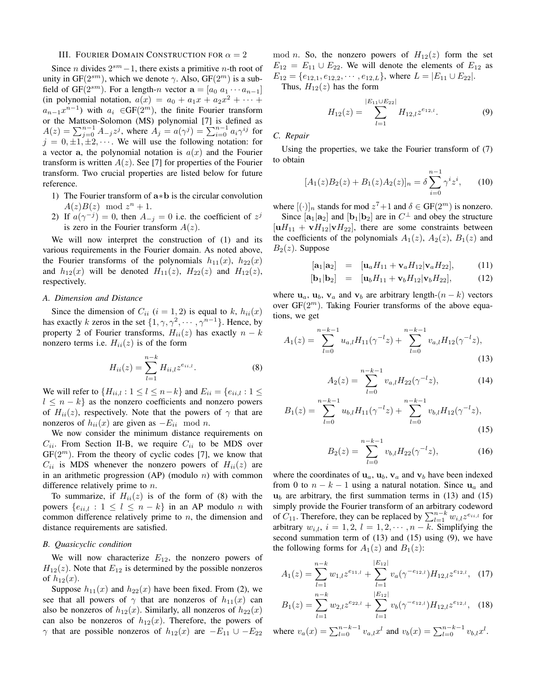## III. FOURIER DOMAIN CONSTRUCTION FOR  $\alpha = 2$

Since *n* divides  $2^{sm} - 1$ , there exists a primitive *n*-th root of unity in  $GF(2^{sm})$ , which we denote  $\gamma$ . Also,  $GF(2^m)$  is a subfield of GF( $2^{sm}$ ). For a length-n vector  $\mathbf{a} = [a_0 \ a_1 \cdots a_{n-1}]$ (in polynomial notation,  $a(x) = a_0 + a_1x + a_2x^2 + \cdots$  $a_{n-1}x^{n-1}$ ) with  $a_i \in GF(2^m)$ , the finite Fourier transform or the Mattson-Solomon (MS) polynomial [7] is defined as  $A(z) = \sum_{j=0}^{n-1} A_{-j} z^j$ , where  $A_j = a(\gamma^j) = \sum_{i=0}^{n-1} a_i \gamma^{ij}$  for  $j = 0, \pm 1, \pm 2, \cdots$ . We will use the following notation: for a vector a, the polynomial notation is  $a(x)$  and the Fourier transform is written  $A(z)$ . See [7] for properties of the Fourier transform. Two crucial properties are listed below for future reference.

- 1) The Fourier transform of a∗b is the circular convolution  $A(z)B(z) \mod z^n + 1.$
- 2) If  $a(\gamma^{-j}) = 0$ , then  $A_{-j} = 0$  i.e. the coefficient of  $z^{j}$ is zero in the Fourier transform  $A(z)$ .

We will now interpret the construction of (1) and its various requirements in the Fourier domain. As noted above, the Fourier transforms of the polynomials  $h_{11}(x)$ ,  $h_{22}(x)$ and  $h_{12}(x)$  will be denoted  $H_{11}(z)$ ,  $H_{22}(z)$  and  $H_{12}(z)$ , respectively.

# *A. Dimension and Distance*

Since the dimension of  $C_{ii}$   $(i = 1, 2)$  is equal to k,  $h_{ii}(x)$ has exactly k zeros in the set  $\{1, \gamma, \gamma^2, \cdots, \gamma^{n-1}\}.$  Hence, by property 2 of Fourier transforms,  $H_{ii}(z)$  has exactly  $n - k$ nonzero terms i.e.  $H_{ii}(z)$  is of the form

$$
H_{ii}(z) = \sum_{l=1}^{n-k} H_{ii,l} z^{e_{ii,l}}.
$$
 (8)

We will refer to  $\{H_{ii,l}: 1 \leq l \leq n-k\}$  and  $E_{ii} = \{e_{ii,l}: 1 \leq l \leq n-k\}$  $l \leq n - k$  as the nonzero coefficients and nonzero powers of  $H_{ii}(z)$ , respectively. Note that the powers of  $\gamma$  that are nonzeros of  $h_{ii}(x)$  are given as  $-E_{ii} \mod n$ .

We now consider the minimum distance requirements on  $C_{ii}$ . From Section II-B, we require  $C_{ii}$  to be MDS over  $GF(2<sup>m</sup>)$ . From the theory of cyclic codes [7], we know that  $C_{ii}$  is MDS whenever the nonzero powers of  $H_{ii}(z)$  are in an arithmetic progression  $(AP)$  (modulo *n*) with common difference relatively prime to  $n$ .

To summarize, if  $H_{ii}(z)$  is of the form of (8) with the powers  $\{e_{ii,l} : 1 \leq l \leq n-k\}$  in an AP modulo *n* with common difference relatively prime to  $n$ , the dimension and distance requirements are satisfied.

## *B. Quasicyclic condition*

We will now characterize  $E_{12}$ , the nonzero powers of  $H_{12}(z)$ . Note that  $E_{12}$  is determined by the possible nonzeros of  $h_{12}(x)$ .

Suppose  $h_{11}(x)$  and  $h_{22}(x)$  have been fixed. From (2), we see that all powers of  $\gamma$  that are nonzeros of  $h_{11}(x)$  can also be nonzeros of  $h_{12}(x)$ . Similarly, all nonzeros of  $h_{22}(x)$ can also be nonzeros of  $h_{12}(x)$ . Therefore, the powers of  $\gamma$  that are possible nonzeros of  $h_{12}(x)$  are  $-E_{11} \cup -E_{22}$  mod *n*. So, the nonzero powers of  $H_{12}(z)$  form the set  $E_{12} = E_{11} \cup E_{22}$ . We will denote the elements of  $E_{12}$  as  $E_{12} = \{e_{12,1}, e_{12,2}, \cdots, e_{12,L}\}\,$ , where  $L = |E_{11} \cup E_{22}|$ .

Thus,  $H_{12}(z)$  has the form

$$
H_{12}(z) = \sum_{l=1}^{|E_{11} \cup E_{22}|} H_{12,l} z^{e_{12,l}}.
$$
 (9)

*C. Repair*

Using the properties, we take the Fourier transform of (7) to obtain

$$
[A_1(z)B_2(z) + B_1(z)A_2(z)]_n = \delta \sum_{i=0}^{n-1} \gamma^i z^i, \qquad (10)
$$

where  $[ ( \cdot ) ]_n$  stands for mod  $z^7+1$  and  $\delta \in \text{GF}(2^m)$  is nonzero. Since  $[\mathbf{a}_1 | \mathbf{a}_2]$  and  $[\mathbf{b}_1 | \mathbf{b}_2]$  are in  $C^{\perp}$  and obey the structure  $[uH_{11} + vH_{12}]vH_{22}]$ , there are some constraints between the coefficients of the polynomials  $A_1(z)$ ,  $A_2(z)$ ,  $B_1(z)$  and  $B_2(z)$ . Suppose

$$
[\mathbf{a}_1|\mathbf{a}_2] = [\mathbf{u}_a H_{11} + \mathbf{v}_a H_{12} | \mathbf{v}_a H_{22}], \quad (11)
$$

$$
[\mathbf{b}_1 | \mathbf{b}_2] = [\mathbf{u}_b H_{11} + \mathbf{v}_b H_{12} | \mathbf{v}_b H_{22}], \quad (12)
$$

where  $u_a$ ,  $u_b$ ,  $v_a$  and  $v_b$  are arbitrary length- $(n - k)$  vectors over  $GF(2<sup>m</sup>)$ . Taking Fourier transforms of the above equations, we get

$$
A_1(z) = \sum_{l=0}^{n-k-1} u_{a,l} H_{11}(\gamma^{-l} z) + \sum_{l=0}^{n-k-1} v_{a,l} H_{12}(\gamma^{-l} z),
$$
\n(13)

$$
A_2(z) = \sum_{l=0}^{n-k-1} v_{a,l} H_{22}(\gamma^{-l} z), \tag{14}
$$

$$
B_1(z) = \sum_{l=0}^{n-k-1} u_{b,l} H_{11}(\gamma^{-l} z) + \sum_{l=0}^{n-k-1} v_{b,l} H_{12}(\gamma^{-l} z),
$$
\n(15)

$$
B_2(z) = \sum_{l=0}^{n-k-1} v_{b,l} H_{22}(\gamma^{-l} z), \tag{16}
$$

where the coordinates of  $\mathbf{u}_a$ ,  $\mathbf{u}_b$ ,  $\mathbf{v}_a$  and  $\mathbf{v}_b$  have been indexed from 0 to  $n - k - 1$  using a natural notation. Since  $u_a$  and  $u_b$  are arbitrary, the first summation terms in (13) and (15) simply provide the Fourier transform of an arbitrary codeword of  $C_{11}$ . Therefore, they can be replaced by  $\sum_{l=1}^{n-k} w_{i,l} z^{e_{ii,l}}$  for arbitrary  $w_{i,l}$ ,  $i = 1, 2, l = 1, 2, \cdots, n - k$ . Simplifying the second summation term of (13) and (15) using (9), we have the following forms for  $A_1(z)$  and  $B_1(z)$ :

$$
A_1(z) = \sum_{l=1}^{n-k} w_{1,l} z^{e_{11,l}} + \sum_{l=1}^{|E_{12}|} v_a(\gamma^{-e_{12,l}}) H_{12,l} z^{e_{12,l}}, \quad (17)
$$

$$
B_1(z) = \sum_{l=1}^{n-k} w_{2,l} z^{e_{22,l}} + \sum_{l=1}^{|E_{12}|} v_b(\gamma^{-e_{12,l}}) H_{12,l} z^{e_{12,l}}, \quad (18)
$$

where  $v_a(x) = \sum_{l=0}^{n-k-1} v_{a,l} x^l$  and  $v_b(x) = \sum_{l=0}^{n-k-1} v_{b,l} x^l$ .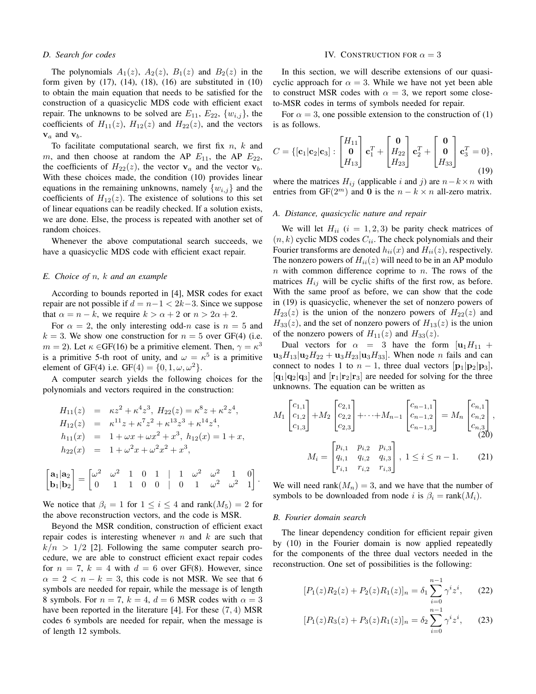## *D. Search for codes*

The polynomials  $A_1(z)$ ,  $A_2(z)$ ,  $B_1(z)$  and  $B_2(z)$  in the form given by  $(17)$ ,  $(14)$ ,  $(18)$ ,  $(16)$  are substituted in  $(10)$ to obtain the main equation that needs to be satisfied for the construction of a quasicyclic MDS code with efficient exact repair. The unknowns to be solved are  $E_{11}$ ,  $E_{22}$ ,  $\{w_{i,j}\}$ , the coefficients of  $H_{11}(z)$ ,  $H_{12}(z)$  and  $H_{22}(z)$ , and the vectors  $v_a$  and  $v_b$ .

To facilitate computational search, we first fix  $n, k$  and m, and then choose at random the AP  $E_{11}$ , the AP  $E_{22}$ , the coefficients of  $H_{22}(z)$ , the vector  $v_a$  and the vector  $v_b$ . With these choices made, the condition (10) provides linear equations in the remaining unknowns, namely  $\{w_{i,j}\}\$ and the coefficients of  $H_{12}(z)$ . The existence of solutions to this set of linear equations can be readily checked. If a solution exists, we are done. Else, the process is repeated with another set of random choices.

Whenever the above computational search succeeds, we have a quasicyclic MDS code with efficient exact repair.

## *E. Choice of* n*,* k *and an example*

According to bounds reported in [4], MSR codes for exact repair are not possible if  $d = n - 1 < 2k - 3$ . Since we suppose that  $\alpha = n - k$ , we require  $k > \alpha + 2$  or  $n > 2\alpha + 2$ .

For  $\alpha = 2$ , the only interesting odd-n case is  $n = 5$  and  $k = 3$ . We show one construction for  $n = 5$  over GF(4) (i.e.  $m = 2$ ). Let  $\kappa \in GF(16)$  be a primitive element. Then,  $\gamma = \kappa^3$ is a primitive 5-th root of unity, and  $\omega = \kappa^5$  is a primitive element of GF(4) i.e. GF(4) =  $\{0, 1, \omega, \omega^2\}$ .

A computer search yields the following choices for the polynomials and vectors required in the construction:

$$
H_{11}(z) = \kappa z^2 + \kappa^4 z^3, H_{22}(z) = \kappa^8 z + \kappa^2 z^4,
$$
  
\n
$$
H_{12}(z) = \kappa^{11} z + \kappa^7 z^2 + \kappa^{13} z^3 + \kappa^{14} z^4,
$$
  
\n
$$
h_{11}(x) = 1 + \omega x + \omega x^2 + x^3, h_{12}(x) = 1 + x,
$$
  
\n
$$
h_{22}(x) = 1 + \omega^2 x + \omega^2 x^2 + x^3,
$$

$$
\begin{bmatrix} \mathbf{a}_1 | \mathbf{a}_2 \\ \mathbf{b}_1 | \mathbf{b}_2 \end{bmatrix} = \begin{bmatrix} \omega^2 & \omega^2 & 1 & 0 & 1 & | & 1 & \omega^2 & \omega^2 & 1 & 0 \\ 0 & 1 & 1 & 0 & 0 & | & 0 & 1 & \omega^2 & \omega^2 & 1 \end{bmatrix}.
$$

We notice that  $\beta_i = 1$  for  $1 \leq i \leq 4$  and rank $(M_5) = 2$  for the above reconstruction vectors, and the code is MSR.

Beyond the MSR condition, construction of efficient exact repair codes is interesting whenever  $n$  and  $k$  are such that  $k/n > 1/2$  [2]. Following the same computer search procedure, we are able to construct efficient exact repair codes for  $n = 7$ ,  $k = 4$  with  $d = 6$  over GF(8). However, since  $\alpha = 2 < n - k = 3$ , this code is not MSR. We see that 6 symbols are needed for repair, while the message is of length 8 symbols. For  $n = 7$ ,  $k = 4$ ,  $d = 6$  MSR codes with  $\alpha = 3$ have been reported in the literature [4]. For these (7, 4) MSR codes 6 symbols are needed for repair, when the message is of length 12 symbols.

### IV. CONSTRUCTION FOR  $\alpha = 3$

In this section, we will describe extensions of our quasicyclic approach for  $\alpha = 3$ . While we have not yet been able to construct MSR codes with  $\alpha = 3$ , we report some closeto-MSR codes in terms of symbols needed for repair.

For  $\alpha = 3$ , one possible extension to the construction of (1) is as follows.

$$
C = \{ [\mathbf{c}_1 | \mathbf{c}_2 | \mathbf{c}_3] : \begin{bmatrix} H_{11} \\ \mathbf{0} \\ H_{13} \end{bmatrix} \mathbf{c}_1^T + \begin{bmatrix} \mathbf{0} \\ H_{22} \\ H_{23} \end{bmatrix} \mathbf{c}_2^T + \begin{bmatrix} \mathbf{0} \\ \mathbf{0} \\ H_{33} \end{bmatrix} \mathbf{c}_3^T = 0 \},
$$
\n(19)

where the matrices  $H_{ij}$  (applicable i and j) are  $n-k \times n$  with entries from GF( $2^m$ ) and 0 is the  $n - k \times n$  all-zero matrix.

### *A. Distance, quasicyclic nature and repair*

We will let  $H_{ii}$   $(i = 1, 2, 3)$  be parity check matrices of  $(n, k)$  cyclic MDS codes  $C_{ii}$ . The check polynomials and their Fourier transforms are denoted  $h_{ii}(x)$  and  $H_{ii}(z)$ , respectively. The nonzero powers of  $H_{ii}(z)$  will need to be in an AP modulo  $n$  with common difference coprime to  $n$ . The rows of the matrices  $H_{ij}$  will be cyclic shifts of the first row, as before. With the same proof as before, we can show that the code in (19) is quasicyclic, whenever the set of nonzero powers of  $H_{23}(z)$  is the union of the nonzero powers of  $H_{22}(z)$  and  $H_{33}(z)$ , and the set of nonzero powers of  $H_{13}(z)$  is the union of the nonzero powers of  $H_{11}(z)$  and  $H_{33}(z)$ .

Dual vectors for  $\alpha = 3$  have the form  $[\mathbf{u}_1H_{11}]$  +  $u_3H_{13}|u_2H_{22} + u_3H_{23}|u_3H_{33}|$ . When node *n* fails and can connect to nodes 1 to  $n-1$ , three dual vectors  $[p_1|p_2|p_3]$ ,  $[q_1|q_2|q_3]$  and  $[r_1|r_2|r_3]$  are needed for solving for the three unknowns. The equation can be written as

$$
M_{1}\begin{bmatrix}c_{1,1} \\ c_{1,2} \\ c_{1,3}\end{bmatrix} + M_{2}\begin{bmatrix}c_{2,1} \\ c_{2,2} \\ c_{2,3}\end{bmatrix} + \cdots + M_{n-1}\begin{bmatrix}c_{n-1,1} \\ c_{n-1,2} \\ c_{n-1,3}\end{bmatrix} = M_{n}\begin{bmatrix}c_{n,1} \\ c_{n,2} \\ c_{n,3} \\ c_{1,3}\end{bmatrix},
$$

$$
M_{i} = \begin{bmatrix}p_{i,1} & p_{i,2} & p_{i,3} \\ q_{i,1} & q_{i,2} & q_{i,3} \\ r_{i,1} & r_{i,2} & r_{i,3}\end{bmatrix}, 1 \leq i \leq n-1.
$$
 (21)

We will need rank $(M_n) = 3$ , and we have that the number of symbols to be downloaded from node i is  $\beta_i = \text{rank}(M_i)$ .

### *B. Fourier domain search*

The linear dependency condition for efficient repair given by (10) in the Fourier domain is now applied repeatedly for the components of the three dual vectors needed in the reconstruction. One set of possibilities is the following:

$$
[P_1(z)R_2(z) + P_2(z)R_1(z)]_n = \delta_1 \sum_{i=0}^{n-1} \gamma^i z^i, \qquad (22)
$$

$$
[P_1(z)R_3(z) + P_3(z)R_1(z)]_n = \delta_2 \sum_{i=0}^{n-1} \gamma^i z^i, \qquad (23)
$$